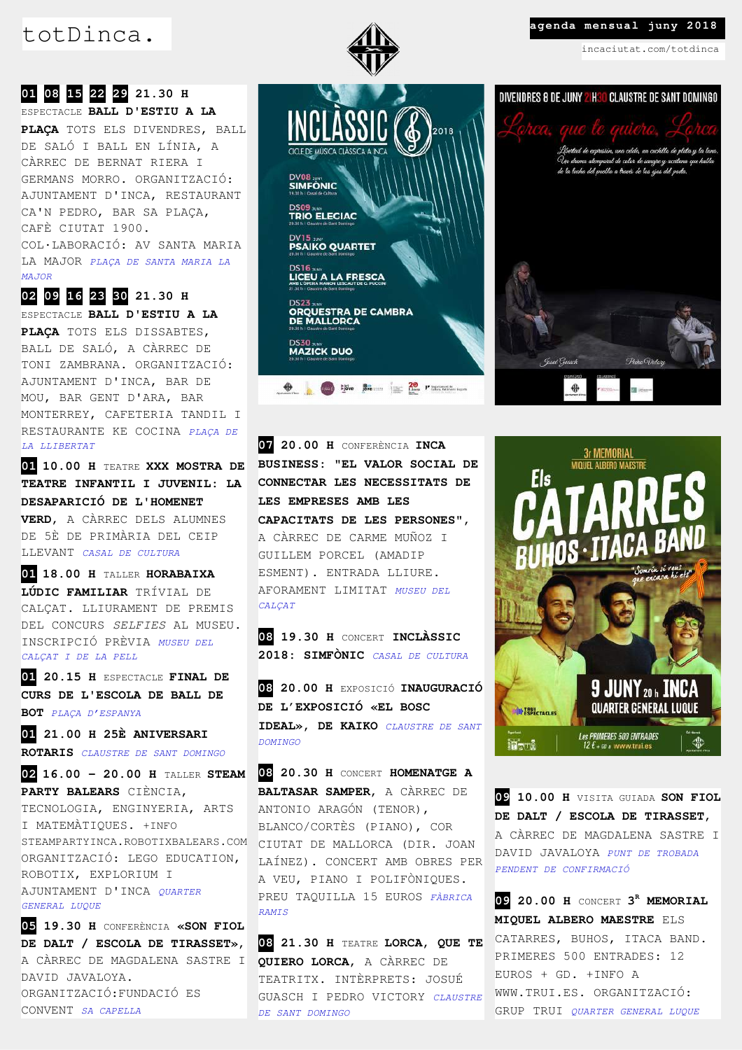# totDinca. **All agenda mensual juny 2018**



incaciutat.com/totdinca

## **01 08 15 22 29 21.30 H**  ESPECTACLE **BALL D'ESTIU A LA**

**PLAÇA** TOTS ELS DIVENDRES, BALL DE SALÓ I BALL EN LÍNIA, A CÀRREC DE BERNAT RIERA I GERMANS MORRO. ORGANITZACIÓ: AJUNTAMENT D'INCA, RESTAURANT CA'N PEDRO, BAR SA PLAÇA, CAFÈ CIUTAT 1900. COL·LABORACIÓ: AV SANTA MARIA LA MAJOR *PLAÇA DE SANTA MARIA LA MAJOR*

**02 09 16 23 30 21.30 H** 

ESPECTACLE **BALL D'ESTIU A LA PLAÇA** TOTS ELS DISSABTES, BALL DE SALÓ, A CÀRREC DE TONI ZAMBRANA. ORGANITZACIÓ: AJUNTAMENT D'INCA, BAR DE MOU, BAR GENT D'ARA, BAR MONTERREY, CAFETERIA TANDIL I RESTAURANTE KE COCINA *PLAÇA DE LA LLIBERTAT*

**01 10.00 H** TEATRE **XXX MOSTRA DE TEATRE INFANTIL I JUVENIL: LA DESAPARICIÓ DE L'HOMENET VERD**, A CÀRREC DELS ALUMNES DE 5È DE PRIMÀRIA DEL CEIP LLEVANT *CASAL DE CULTURA*

**01 18.00 H** TALLER **HORABAIXA LÚDIC FAMILIAR** TRÍVIAL DE CALÇAT. LLIURAMENT DE PREMIS DEL CONCURS *SELFIES* AL MUSEU. INSCRIPCIÓ PRÈVIA *MUSEU DEL CALÇAT I DE LA PELL*

**01 20.15 H** ESPECTACLE **FINAL DE CURS DE L'ESCOLA DE BALL DE BOT** *PLAÇA D'ESPANYA*

**01 21.00 H 25È ANIVERSARI ROTARIS** *CLAUSTRE DE SANT DOMINGO*

**02 16.00 – 20.00 H** TALLER **STEAM PARTY BALEARS** CIÈNCIA, TECNOLOGIA, ENGINYERIA, ARTS I MATEMÀTIQUES. +INFO STEAMPARTYINCA.ROBOTIXBALEARS.COM ORGANITZACIÓ: LEGO EDUCATION, ROBOTIX, EXPLORIUM I AJUNTAMENT D'INCA *QUARTER GENERAL LUQUE*

**05 19.30 H** CONFERÈNCIA **«SON FIOL DE DALT / ESCOLA DE TIRASSET»**, A CÀRREC DE MAGDALENA SASTRE I DAVID JAVALOYA. ORGANITZACIÓ:FUNDACIÓ ES CONVENT *SA CAPELLA*



**07 20.00 H** CONFERÈNCIA **INCA BUSINESS: "EL VALOR SOCIAL DE CONNECTAR LES NECESSITATS DE LES EMPRESES AMB LES CAPACITATS DE LES PERSONES"**, A CÀRREC DE CARME MUÑOZ I GUILLEM PORCEL (AMADIP ESMENT). ENTRADA LLIURE. AFORAMENT LIMITAT *MUSEU DEL CALÇAT*

**08 19.30 H** CONCERT **INCLÀSSIC 2018: SIMFÒNIC** *CASAL DE CULTURA*

**08 20.00 H** EXPOSICIÓ **INAUGURACIÓ DE L'EXPOSICIÓ «EL BOSC IDEAL», DE KAIKO** *CLAUSTRE DE SANT DOMINGO*

**08 20.30 H** CONCERT **HOMENATGE A BALTASAR SAMPER**, A CÀRREC DE ANTONIO ARAGÓN (TENOR), BLANCO/CORTÈS (PIANO), COR CIUTAT DE MALLORCA (DIR. JOAN LAÍNEZ). CONCERT AMB OBRES PER A VEU, PIANO I POLIFÒNIQUES. PREU TAQUILLA 15 EUROS *FÀBRICA RAMIS*

**08 21.30 H** TEATRE **LORCA, QUE TE QUIERO LORCA**, A CÀRREC DE TEATRITX. INTÈRPRETS: JOSUÉ GUASCH I PEDRO VICTORY *CLAUSTRE DE SANT DOMINGO*





**09 10.00 H** VISITA GUIADA **SON FIOL DE DALT / ESCOLA DE TIRASSET**, A CÀRREC DE MAGDALENA SASTRE I DAVID JAVALOYA *PUNT DE TROBADA PENDENT DE CONFIRMACIÓ*

**09 20.00 H** CONCERT **3 <sup>R</sup> MEMORIAL MIQUEL ALBERO MAESTRE** ELS CATARRES, BUHOS, ITACA BAND. PRIMERES 500 ENTRADES: 12 EUROS + GD. +INFO A WWW.TRUI.ES. ORGANITZACIÓ: GRUP TRUI *QUARTER GENERAL LUQUE*